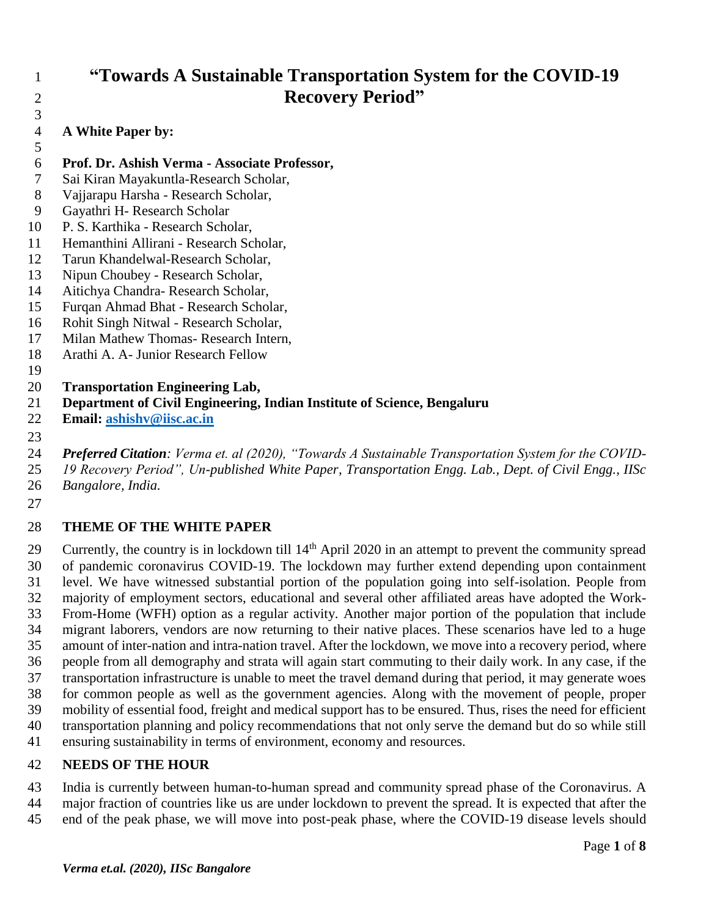# **"Towards A Sustainable Transportation System for the COVID-19 Recovery Period"**

 **A White Paper by:**  

- **Prof. Dr. Ashish Verma - Associate Professor,**
- Sai Kiran Mayakuntla-Research Scholar,
- Vajjarapu Harsha Research Scholar,
- Gayathri H- Research Scholar
- P. S. Karthika Research Scholar,
- Hemanthini Allirani Research Scholar,
- Tarun Khandelwal-Research Scholar,
- Nipun Choubey Research Scholar,
- Aitichya Chandra- Research Scholar,
- Furqan Ahmad Bhat Research Scholar,
- Rohit Singh Nitwal Research Scholar,
- Milan Mathew Thomas- Research Intern,
- Arathi A. A- Junior Research Fellow

# **Transportation Engineering Lab,**

- **Department of Civil Engineering, Indian Institute of Science, Bengaluru**
- **Email: [ashishv@iisc.ac.in](mailto:ashishv@iisc.ac.in)**

 *Preferred Citation: Verma et. al (2020), "Towards A Sustainable Transportation System for the COVID-19 Recovery Period", Un-published White Paper, Transportation Engg. Lab., Dept. of Civil Engg., IISc* 

*Bangalore, India.*

# **THEME OF THE WHITE PAPER**

Currently, the country is in lockdown till  $14<sup>th</sup>$  April 2020 in an attempt to prevent the community spread of pandemic coronavirus COVID-19. The lockdown may further extend depending upon containment level. We have witnessed substantial portion of the population going into self-isolation. People from majority of employment sectors, educational and several other affiliated areas have adopted the Work- From-Home (WFH) option as a regular activity. Another major portion of the population that include migrant laborers, vendors are now returning to their native places. These scenarios have led to a huge amount of inter-nation and intra-nation travel. After the lockdown, we move into a recovery period, where people from all demography and strata will again start commuting to their daily work. In any case, if the transportation infrastructure is unable to meet the travel demand during that period, it may generate woes for common people as well as the government agencies. Along with the movement of people, proper mobility of essential food, freight and medical support has to be ensured. Thus, rises the need for efficient transportation planning and policy recommendations that not only serve the demand but do so while still ensuring sustainability in terms of environment, economy and resources.

# **NEEDS OF THE HOUR**

 India is currently between human-to-human spread and community spread phase of the Coronavirus. A major fraction of countries like us are under lockdown to prevent the spread. It is expected that after the end of the peak phase, we will move into post-peak phase, where the COVID-19 disease levels should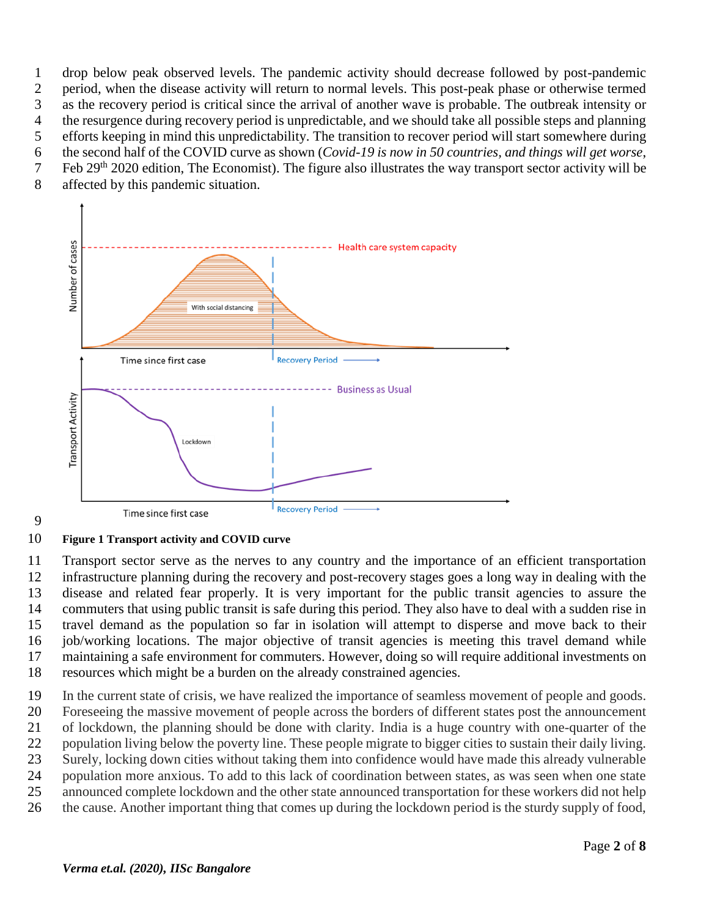drop below peak observed levels. The pandemic activity should decrease followed by post-pandemic period, when the disease activity will return to normal levels. This post-peak phase or otherwise termed as the recovery period is critical since the arrival of another wave is probable. The outbreak intensity or the resurgence during recovery period is unpredictable, and we should take all possible steps and planning efforts keeping in mind this unpredictability. The transition to recover period will start somewhere during the second half of the COVID curve as shown (*Covid-19 is now in 50 countries, and things will get worse*, 7 Feb 29<sup>th</sup> 2020 edition, The Economist). The figure also illustrates the way transport sector activity will be

affected by this pandemic situation.



#### 

#### **Figure 1 Transport activity and COVID curve**

 Transport sector serve as the nerves to any country and the importance of an efficient transportation infrastructure planning during the recovery and post-recovery stages goes a long way in dealing with the disease and related fear properly. It is very important for the public transit agencies to assure the commuters that using public transit is safe during this period. They also have to deal with a sudden rise in travel demand as the population so far in isolation will attempt to disperse and move back to their job/working locations. The major objective of transit agencies is meeting this travel demand while maintaining a safe environment for commuters. However, doing so will require additional investments on resources which might be a burden on the already constrained agencies.

 In the current state of crisis, we have realized the importance of seamless movement of people and goods. Foreseeing the massive movement of people across the borders of different states post the announcement of lockdown, the planning should be done with clarity. India is a huge country with one-quarter of the population living below the poverty line. These people migrate to bigger cities to sustain their daily living. Surely, locking down cities without taking them into confidence would have made this already vulnerable population more anxious. To add to this lack of coordination between states, as was seen when one state announced complete lockdown and the other state announced transportation for these workers did not help the cause. Another important thing that comes up during the lockdown period is the sturdy supply of food,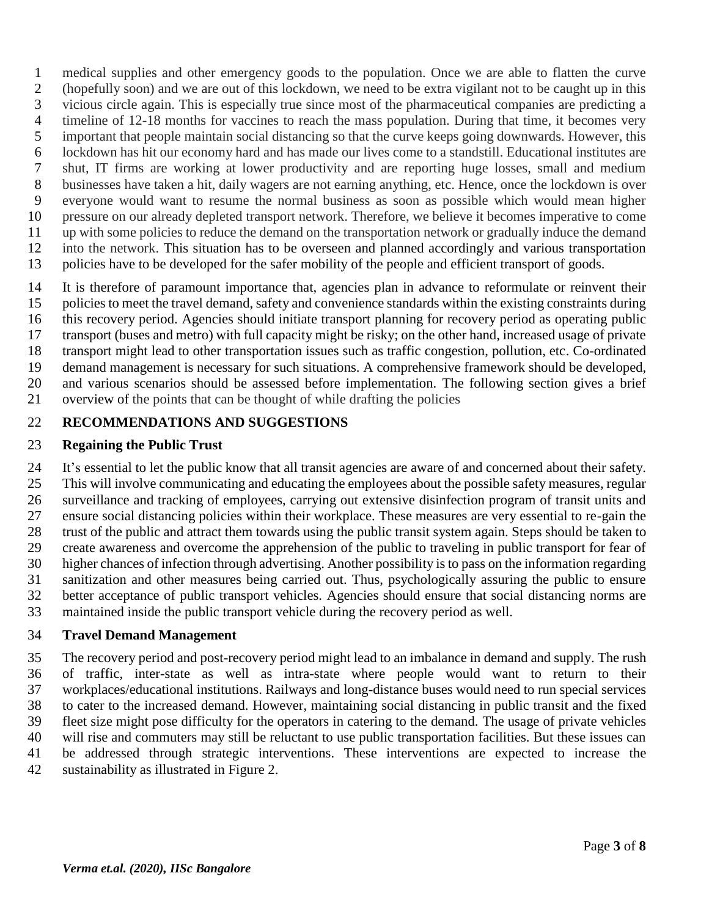medical supplies and other emergency goods to the population. Once we are able to flatten the curve (hopefully soon) and we are out of this lockdown, we need to be extra vigilant not to be caught up in this vicious circle again. This is especially true since most of the pharmaceutical companies are predicting a timeline of 12-18 months for vaccines to reach the mass population. During that time, it becomes very important that people maintain social distancing so that the curve keeps going downwards. However, this lockdown has hit our economy hard and has made our lives come to a standstill. Educational institutes are shut, IT firms are working at lower productivity and are reporting huge losses, small and medium businesses have taken a hit, daily wagers are not earning anything, etc. Hence, once the lockdown is over everyone would want to resume the normal business as soon as possible which would mean higher pressure on our already depleted transport network. Therefore, we believe it becomes imperative to come up with some policies to reduce the demand on the transportation network or gradually induce the demand into the network. This situation has to be overseen and planned accordingly and various transportation policies have to be developed for the safer mobility of the people and efficient transport of goods.

 It is therefore of paramount importance that, agencies plan in advance to reformulate or reinvent their policies to meet the travel demand, safety and convenience standards within the existing constraints during this recovery period. Agencies should initiate transport planning for recovery period as operating public transport (buses and metro) with full capacity might be risky; on the other hand, increased usage of private transport might lead to other transportation issues such as traffic congestion, pollution, etc. Co-ordinated demand management is necessary for such situations. A comprehensive framework should be developed, and various scenarios should be assessed before implementation. The following section gives a brief overview of the points that can be thought of while drafting the policies

# **RECOMMENDATIONS AND SUGGESTIONS**

### **Regaining the Public Trust**

 It's essential to let the public know that all transit agencies are aware of and concerned about their safety. This will involve communicating and educating the employees about the possible safety measures, regular surveillance and tracking of employees, carrying out extensive disinfection program of transit units and ensure social distancing policies within their workplace. These measures are very essential to re-gain the trust of the public and attract them towards using the public transit system again. Steps should be taken to create awareness and overcome the apprehension of the public to traveling in public transport for fear of higher chances of infection through advertising. Another possibility is to pass on the information regarding sanitization and other measures being carried out. Thus, psychologically assuring the public to ensure better acceptance of public transport vehicles. Agencies should ensure that social distancing norms are maintained inside the public transport vehicle during the recovery period as well.

### **Travel Demand Management**

 The recovery period and post-recovery period might lead to an imbalance in demand and supply. The rush of traffic, inter-state as well as intra-state where people would want to return to their workplaces/educational institutions. Railways and long-distance buses would need to run special services to cater to the increased demand. However, maintaining social distancing in public transit and the fixed fleet size might pose difficulty for the operators in catering to the demand. The usage of private vehicles will rise and commuters may still be reluctant to use public transportation facilities. But these issues can be addressed through strategic interventions. These interventions are expected to increase the sustainability as illustrated in Figure 2.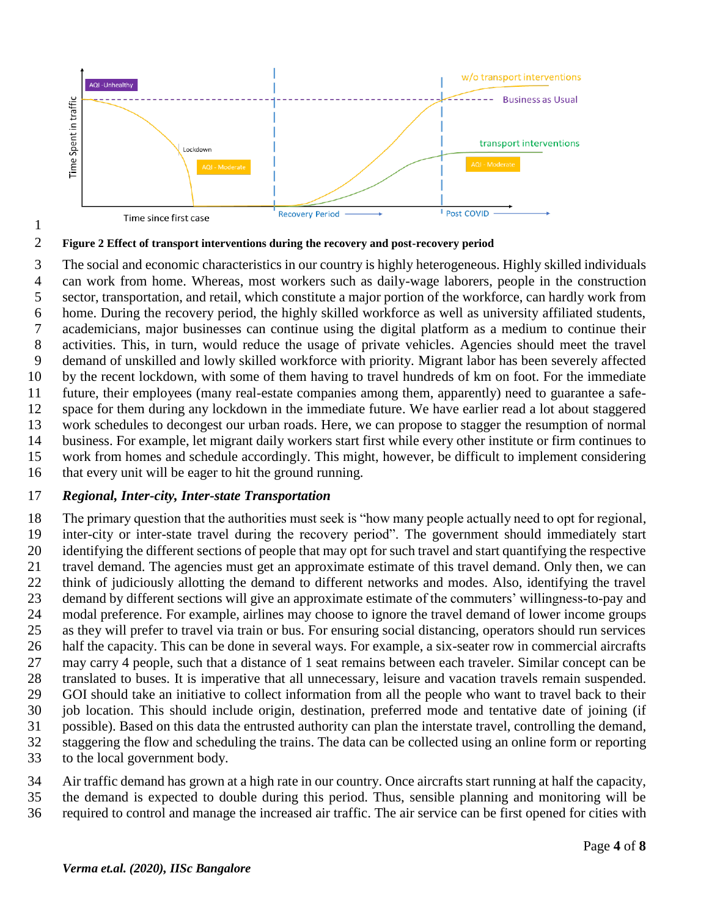

**Figure 2 Effect of transport interventions during the recovery and post-recovery period**

 The social and economic characteristics in our country is highly heterogeneous. Highly skilled individuals can work from home. Whereas, most workers such as daily-wage laborers, people in the construction sector, transportation, and retail, which constitute a major portion of the workforce, can hardly work from home. During the recovery period, the highly skilled workforce as well as university affiliated students, academicians, major businesses can continue using the digital platform as a medium to continue their activities. This, in turn, would reduce the usage of private vehicles. Agencies should meet the travel demand of unskilled and lowly skilled workforce with priority. Migrant labor has been severely affected by the recent lockdown, with some of them having to travel hundreds of km on foot. For the immediate future, their employees (many real-estate companies among them, apparently) need to guarantee a safe- space for them during any lockdown in the immediate future. We have earlier read a lot about staggered work schedules to decongest our urban roads. Here, we can propose to stagger the resumption of normal business. For example, let migrant daily workers start first while every other institute or firm continues to work from homes and schedule accordingly. This might, however, be difficult to implement considering that every unit will be eager to hit the ground running.

#### *Regional, Inter-city, Inter-state Transportation*

 The primary question that the authorities must seek is "how many people actually need to opt for regional, inter-city or inter-state travel during the recovery period". The government should immediately start identifying the different sections of people that may opt for such travel and start quantifying the respective travel demand. The agencies must get an approximate estimate of this travel demand. Only then, we can think of judiciously allotting the demand to different networks and modes. Also, identifying the travel demand by different sections will give an approximate estimate of the commuters' willingness-to-pay and modal preference. For example, airlines may choose to ignore the travel demand of lower income groups as they will prefer to travel via train or bus. For ensuring social distancing, operators should run services half the capacity. This can be done in several ways. For example, a six-seater row in commercial aircrafts may carry 4 people, such that a distance of 1 seat remains between each traveler. Similar concept can be translated to buses. It is imperative that all unnecessary, leisure and vacation travels remain suspended. GOI should take an initiative to collect information from all the people who want to travel back to their job location. This should include origin, destination, preferred mode and tentative date of joining (if possible). Based on this data the entrusted authority can plan the interstate travel, controlling the demand, staggering the flow and scheduling the trains. The data can be collected using an online form or reporting to the local government body.

- Air traffic demand has grown at a high rate in our country. Once aircrafts start running at half the capacity,
- the demand is expected to double during this period. Thus, sensible planning and monitoring will be required to control and manage the increased air traffic. The air service can be first opened for cities with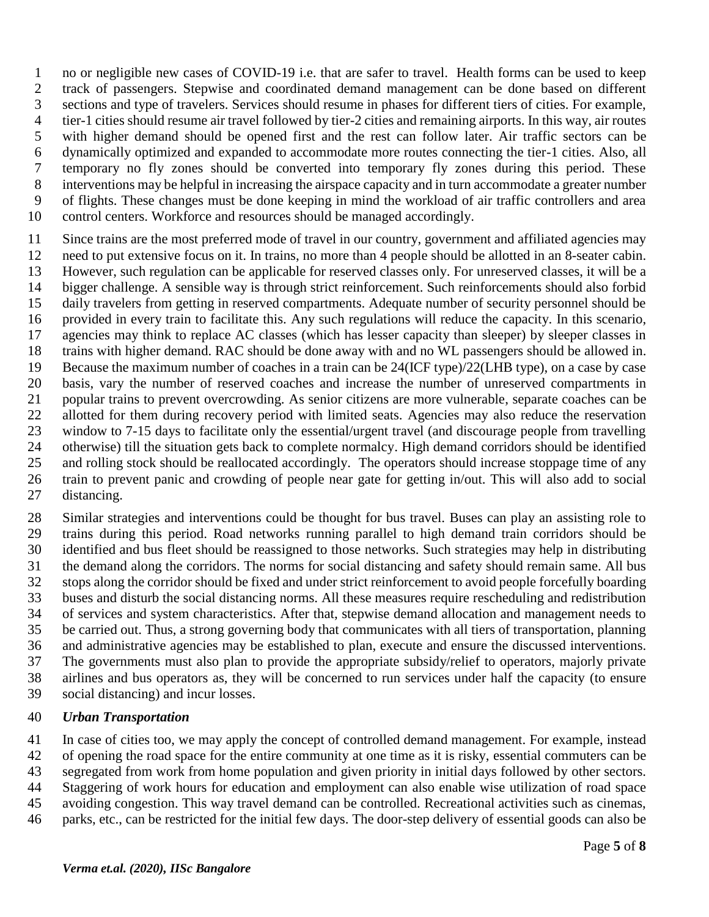no or negligible new cases of COVID-19 i.e. that are safer to travel. Health forms can be used to keep track of passengers. Stepwise and coordinated demand management can be done based on different sections and type of travelers. Services should resume in phases for different tiers of cities. For example, tier-1 cities should resume air travel followed by tier-2 cities and remaining airports. In this way, air routes with higher demand should be opened first and the rest can follow later. Air traffic sectors can be dynamically optimized and expanded to accommodate more routes connecting the tier-1 cities. Also, all temporary no fly zones should be converted into temporary fly zones during this period. These interventions may be helpful in increasing the airspace capacity and in turn accommodate a greater number of flights. These changes must be done keeping in mind the workload of air traffic controllers and area control centers. Workforce and resources should be managed accordingly.

 Since trains are the most preferred mode of travel in our country, government and affiliated agencies may need to put extensive focus on it. In trains, no more than 4 people should be allotted in an 8-seater cabin. However, such regulation can be applicable for reserved classes only. For unreserved classes, it will be a bigger challenge. A sensible way is through strict reinforcement. Such reinforcements should also forbid daily travelers from getting in reserved compartments. Adequate number of security personnel should be provided in every train to facilitate this. Any such regulations will reduce the capacity. In this scenario, agencies may think to replace AC classes (which has lesser capacity than sleeper) by sleeper classes in trains with higher demand. RAC should be done away with and no WL passengers should be allowed in. Because the maximum number of coaches in a train can be 24(ICF type)/22(LHB type), on a case by case basis, vary the number of reserved coaches and increase the number of unreserved compartments in popular trains to prevent overcrowding. As senior citizens are more vulnerable, separate coaches can be allotted for them during recovery period with limited seats. Agencies may also reduce the reservation window to 7-15 days to facilitate only the essential/urgent travel (and discourage people from travelling otherwise) till the situation gets back to complete normalcy. High demand corridors should be identified and rolling stock should be reallocated accordingly. The operators should increase stoppage time of any train to prevent panic and crowding of people near gate for getting in/out. This will also add to social distancing.

 Similar strategies and interventions could be thought for bus travel. Buses can play an assisting role to trains during this period. Road networks running parallel to high demand train corridors should be identified and bus fleet should be reassigned to those networks. Such strategies may help in distributing the demand along the corridors. The norms for social distancing and safety should remain same. All bus stops along the corridor should be fixed and under strict reinforcement to avoid people forcefully boarding buses and disturb the social distancing norms. All these measures require rescheduling and redistribution of services and system characteristics. After that, stepwise demand allocation and management needs to be carried out. Thus, a strong governing body that communicates with all tiers of transportation, planning and administrative agencies may be established to plan, execute and ensure the discussed interventions. The governments must also plan to provide the appropriate subsidy/relief to operators, majorly private airlines and bus operators as, they will be concerned to run services under half the capacity (to ensure social distancing) and incur losses.

#### *Urban Transportation*

In case of cities too, we may apply the concept of controlled demand management. For example, instead

of opening the road space for the entire community at one time as it is risky, essential commuters can be

segregated from work from home population and given priority in initial days followed by other sectors.

 Staggering of work hours for education and employment can also enable wise utilization of road space avoiding congestion. This way travel demand can be controlled. Recreational activities such as cinemas,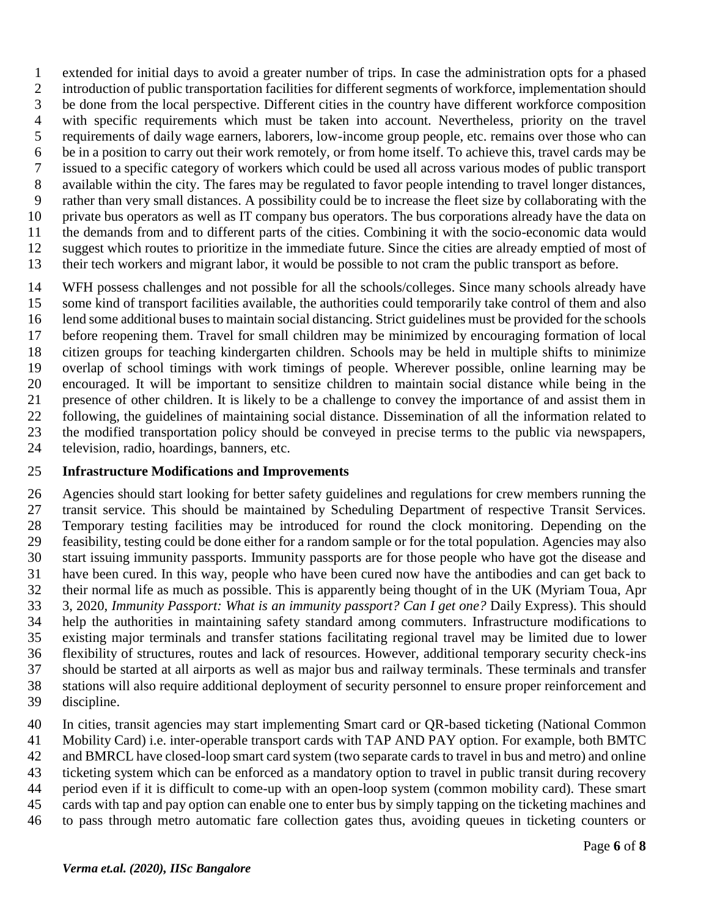extended for initial days to avoid a greater number of trips. In case the administration opts for a phased introduction of public transportation facilities for different segments of workforce, implementation should be done from the local perspective. Different cities in the country have different workforce composition with specific requirements which must be taken into account. Nevertheless, priority on the travel requirements of daily wage earners, laborers, low-income group people, etc. remains over those who can be in a position to carry out their work remotely, or from home itself. To achieve this, travel cards may be issued to a specific category of workers which could be used all across various modes of public transport available within the city. The fares may be regulated to favor people intending to travel longer distances, rather than very small distances. A possibility could be to increase the fleet size by collaborating with the private bus operators as well as IT company bus operators. The bus corporations already have the data on the demands from and to different parts of the cities. Combining it with the socio-economic data would suggest which routes to prioritize in the immediate future. Since the cities are already emptied of most of their tech workers and migrant labor, it would be possible to not cram the public transport as before.

 WFH possess challenges and not possible for all the schools/colleges. Since many schools already have some kind of transport facilities available, the authorities could temporarily take control of them and also lend some additional buses to maintain social distancing. Strict guidelines must be provided for the schools before reopening them. Travel for small children may be minimized by encouraging formation of local citizen groups for teaching kindergarten children. Schools may be held in multiple shifts to minimize overlap of school timings with work timings of people. Wherever possible, online learning may be encouraged. It will be important to sensitize children to maintain social distance while being in the presence of other children. It is likely to be a challenge to convey the importance of and assist them in following, the guidelines of maintaining social distance. Dissemination of all the information related to the modified transportation policy should be conveyed in precise terms to the public via newspapers, television, radio, hoardings, banners, etc.

### **Infrastructure Modifications and Improvements**

 Agencies should start looking for better safety guidelines and regulations for crew members running the transit service. This should be maintained by Scheduling Department of respective Transit Services. Temporary testing facilities may be introduced for round the clock monitoring. Depending on the feasibility, testing could be done either for a random sample or for the total population. Agencies may also start issuing immunity passports. Immunity passports are for those people who have got the disease and have been cured. In this way, people who have been cured now have the antibodies and can get back to their normal life as much as possible. This is apparently being thought of in the UK (Myriam Toua, Apr 3, 2020, *Immunity Passport: What is an immunity passport? Can I get one?* Daily Express). This should help the authorities in maintaining safety standard among commuters. Infrastructure modifications to existing major terminals and transfer stations facilitating regional travel may be limited due to lower flexibility of structures, routes and lack of resources. However, additional temporary security check-ins should be started at all airports as well as major bus and railway terminals. These terminals and transfer stations will also require additional deployment of security personnel to ensure proper reinforcement and discipline.

 In cities, transit agencies may start implementing Smart card or QR-based ticketing (National Common Mobility Card) i.e. inter-operable transport cards with TAP AND PAY option. For example, both BMTC and BMRCL have closed-loop smart card system (two separate cards to travel in bus and metro) and online ticketing system which can be enforced as a mandatory option to travel in public transit during recovery period even if it is difficult to come-up with an open-loop system (common mobility card). These smart cards with tap and pay option can enable one to enter bus by simply tapping on the ticketing machines and to pass through metro automatic fare collection gates thus, avoiding queues in ticketing counters or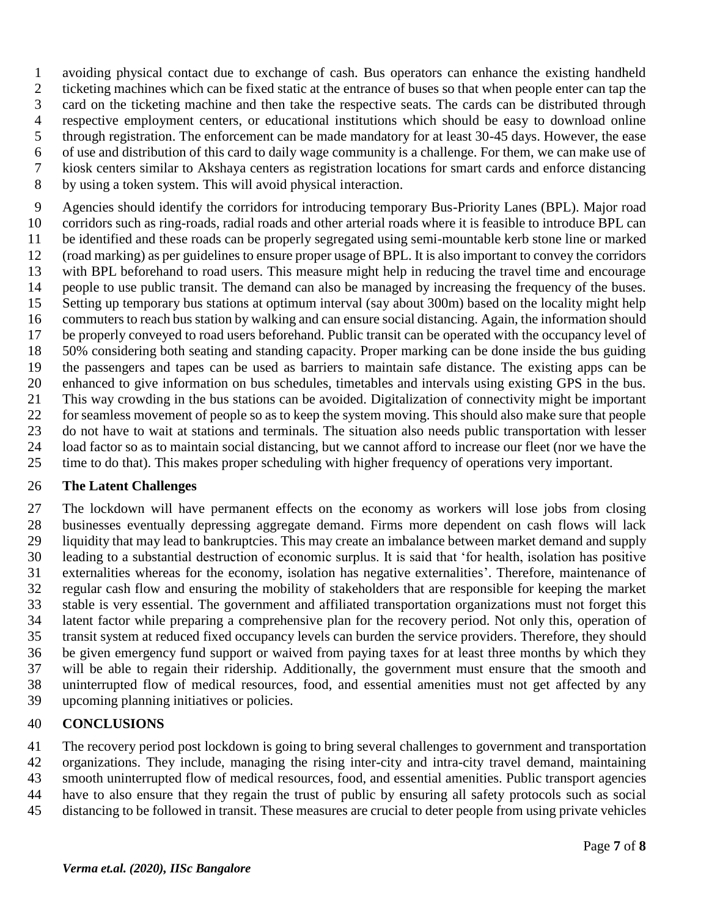avoiding physical contact due to exchange of cash. Bus operators can enhance the existing handheld ticketing machines which can be fixed static at the entrance of buses so that when people enter can tap the card on the ticketing machine and then take the respective seats. The cards can be distributed through respective employment centers, or educational institutions which should be easy to download online through registration. The enforcement can be made mandatory for at least 30-45 days. However, the ease of use and distribution of this card to daily wage community is a challenge. For them, we can make use of kiosk centers similar to Akshaya centers as registration locations for smart cards and enforce distancing

by using a token system. This will avoid physical interaction.

 Agencies should identify the corridors for introducing temporary Bus-Priority Lanes (BPL). Major road corridors such as ring-roads, radial roads and other arterial roads where it is feasible to introduce BPL can be identified and these roads can be properly segregated using semi-mountable kerb stone line or marked (road marking) as per guidelines to ensure proper usage of BPL. It is also important to convey the corridors with BPL beforehand to road users. This measure might help in reducing the travel time and encourage people to use public transit. The demand can also be managed by increasing the frequency of the buses. Setting up temporary bus stations at optimum interval (say about 300m) based on the locality might help commuters to reach bus station by walking and can ensure social distancing. Again, the information should be properly conveyed to road users beforehand. Public transit can be operated with the occupancy level of 50% considering both seating and standing capacity. Proper marking can be done inside the bus guiding the passengers and tapes can be used as barriers to maintain safe distance. The existing apps can be enhanced to give information on bus schedules, timetables and intervals using existing GPS in the bus. This way crowding in the bus stations can be avoided. Digitalization of connectivity might be important for seamless movement of people so as to keep the system moving. This should also make sure that people do not have to wait at stations and terminals. The situation also needs public transportation with lesser load factor so as to maintain social distancing, but we cannot afford to increase our fleet (nor we have the time to do that). This makes proper scheduling with higher frequency of operations very important.

### **The Latent Challenges**

 The lockdown will have permanent effects on the economy as workers will lose jobs from closing businesses eventually depressing aggregate demand. Firms more dependent on cash flows will lack liquidity that may lead to bankruptcies. This may create an imbalance between market demand and supply leading to a substantial destruction of economic surplus. It is said that 'for health, isolation has positive externalities whereas for the economy, isolation has negative externalities'. Therefore, maintenance of regular cash flow and ensuring the mobility of stakeholders that are responsible for keeping the market stable is very essential. The government and affiliated transportation organizations must not forget this latent factor while preparing a comprehensive plan for the recovery period. Not only this, operation of transit system at reduced fixed occupancy levels can burden the service providers. Therefore, they should be given emergency fund support or waived from paying taxes for at least three months by which they will be able to regain their ridership. Additionally, the government must ensure that the smooth and uninterrupted flow of medical resources, food, and essential amenities must not get affected by any upcoming planning initiatives or policies.

# **CONCLUSIONS**

 The recovery period post lockdown is going to bring several challenges to government and transportation organizations. They include, managing the rising inter-city and intra-city travel demand, maintaining smooth uninterrupted flow of medical resources, food, and essential amenities. Public transport agencies have to also ensure that they regain the trust of public by ensuring all safety protocols such as social

distancing to be followed in transit. These measures are crucial to deter people from using private vehicles